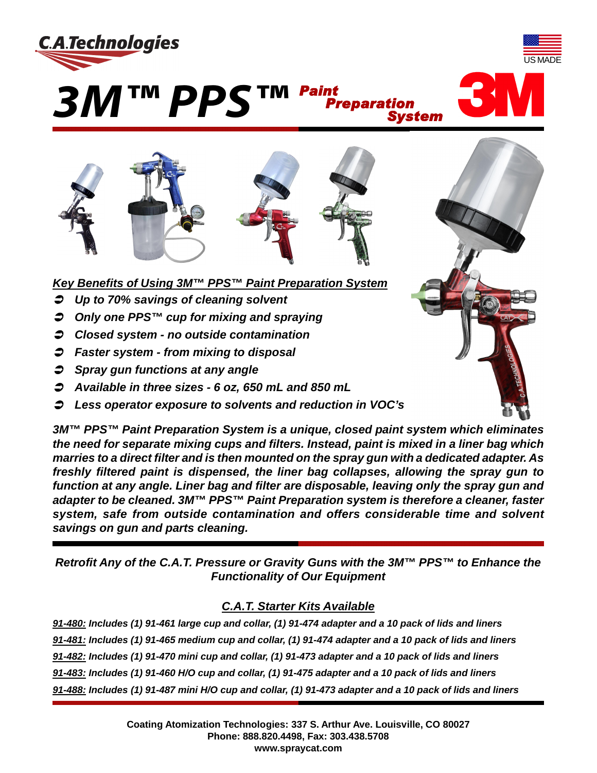





*Key Benefits of Using 3M™ PPS™ Paint Preparation System*

- Ü *Up to 70% savings of cleaning solvent*
- Ü *Only one PPS™ cup for mixing and spraying*
- Ü *Closed system no outside contamination*
- Ü *Faster system from mixing to disposal*
- Ü *Spray gun functions at any angle*
- Ü *Available in three sizes 6 oz, 650 mL and 850 mL*
- Ü *Less operator exposure to solvents and reduction in VOC's*

*3M™ PPS™ Paint Preparation System is a unique, closed paint system which eliminates the need for separate mixing cups and filters. Instead, paint is mixed in a liner bag which marries to a direct filter and is then mounted on the spray gun with a dedicated adapter. As freshly filtered paint is dispensed, the liner bag collapses, allowing the spray gun to function at any angle. Liner bag and filter are disposable, leaving only the spray gun and adapter to be cleaned. 3M™ PPS™ Paint Preparation system is therefore a cleaner, faster system, safe from outside contamination and offers considerable time and solvent savings on gun and parts cleaning.*

*Preparation*

*System*

*Retrofit Any of the C.A.T. Pressure or Gravity Guns with the 3M™ PPS™ to Enhance the Functionality of Our Equipment*

## *C.A.T. Starter Kits Available*

*91-480: Includes (1) 91-461 large cup and collar, (1) 91-474 adapter and a 10 pack of lids and liners 91-481: Includes (1) 91-465 medium cup and collar, (1) 91-474 adapter and a 10 pack of lids and liners 91-482: Includes (1) 91-470 mini cup and collar, (1) 91-473 adapter and a 10 pack of lids and liners 91-483: Includes (1) 91-460 H/O cup and collar, (1) 91-475 adapter and a 10 pack of lids and liners 91-488: Includes (1) 91-487 mini H/O cup and collar, (1) 91-473 adapter and a 10 pack of lids and liners*